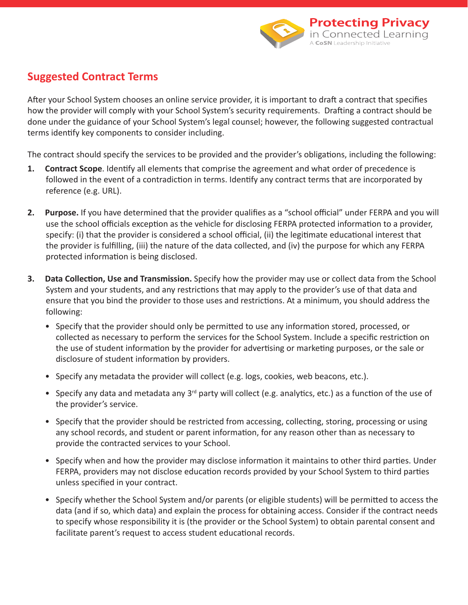

## **Suggested Contract Terms**

After your School System chooses an online service provider, it is important to draft a contract that specifies how the provider will comply with your School System's security requirements. Drafting a contract should be done under the guidance of your School System's legal counsel; however, the following suggested contractual terms identify key components to consider including.

The contract should specify the services to be provided and the provider's obligations, including the following:

- **1. Contract Scope**. Identify all elements that comprise the agreement and what order of precedence is followed in the event of a contradiction in terms. Identify any contract terms that are incorporated by reference (e.g. URL).
- **2.** Purpose. If you have determined that the provider qualifies as a "school official" under FERPA and you will use the school officials exception as the vehicle for disclosing FERPA protected information to a provider, specify: (i) that the provider is considered a school official, (ii) the legitimate educational interest that the provider is fulfilling, (iii) the nature of the data collected, and (iv) the purpose for which any FERPA protected information is being disclosed.
- **3. Data Collection, Use and Transmission.** Specify how the provider may use or collect data from the School System and your students, and any restrictions that may apply to the provider's use of that data and ensure that you bind the provider to those uses and restrictions. At a minimum, you should address the following:
	- Specify that the provider should only be permitted to use any information stored, processed, or collected as necessary to perform the services for the School System. Include a specific restriction on the use of student information by the provider for advertising or marketing purposes, or the sale or disclosure of student information by providers.
	- Specify any metadata the provider will collect (e.g. logs, cookies, web beacons, etc.).
	- Specify any data and metadata any 3<sup>rd</sup> party will collect (e.g. analytics, etc.) as a function of the use of the provider's service.
	- Specify that the provider should be restricted from accessing, collecting, storing, processing or using any school records, and student or parent information, for any reason other than as necessary to provide the contracted services to your School.
	- Specify when and how the provider may disclose information it maintains to other third parties. Under FERPA, providers may not disclose education records provided by your School System to third parties unless specified in your contract.
	- Specify whether the School System and/or parents (or eligible students) will be permitted to access the data (and if so, which data) and explain the process for obtaining access. Consider if the contract needs to specify whose responsibility it is (the provider or the School System) to obtain parental consent and facilitate parent's request to access student educational records.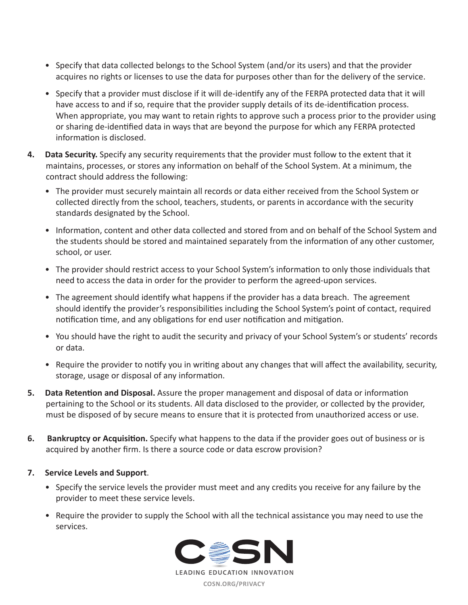- Specify that data collected belongs to the School System (and/or its users) and that the provider acquires no rights or licenses to use the data for purposes other than for the delivery of the service.
- Specify that a provider must disclose if it will de-identify any of the FERPA protected data that it will have access to and if so, require that the provider supply details of its de-identification process. When appropriate, you may want to retain rights to approve such a process prior to the provider using or sharing de-identified data in ways that are beyond the purpose for which any FERPA protected information is disclosed.
- **4. Data Security.** Specify any security requirements that the provider must follow to the extent that it maintains, processes, or stores any information on behalf of the School System. At a minimum, the contract should address the following:
	- The provider must securely maintain all records or data either received from the School System or collected directly from the school, teachers, students, or parents in accordance with the security standards designated by the School.
	- Information, content and other data collected and stored from and on behalf of the School System and the students should be stored and maintained separately from the information of any other customer, school, or user.
	- The provider should restrict access to your School System's information to only those individuals that need to access the data in order for the provider to perform the agreed-upon services.
	- The agreement should identify what happens if the provider has a data breach. The agreement should identify the provider's responsibilities including the School System's point of contact, required notification time, and any obligations for end user notification and mitigation.
	- You should have the right to audit the security and privacy of your School System's or students' records or data.
	- Require the provider to notify you in writing about any changes that will affect the availability, security, storage, usage or disposal of any information.
- **5. Data Retention and Disposal.** Assure the proper management and disposal of data or information pertaining to the School or its students. All data disclosed to the provider, or collected by the provider, must be disposed of by secure means to ensure that it is protected from unauthorized access or use.
- **6. Bankruptcy or Acquisition.** Specify what happens to the data if the provider goes out of business or is acquired by another firm. Is there a source code or data escrow provision?
- **7. Service Levels and Support**.
	- Specify the service levels the provider must meet and any credits you receive for any failure by the provider to meet these service levels.
	- Require the provider to supply the School with all the technical assistance you may need to use the services.